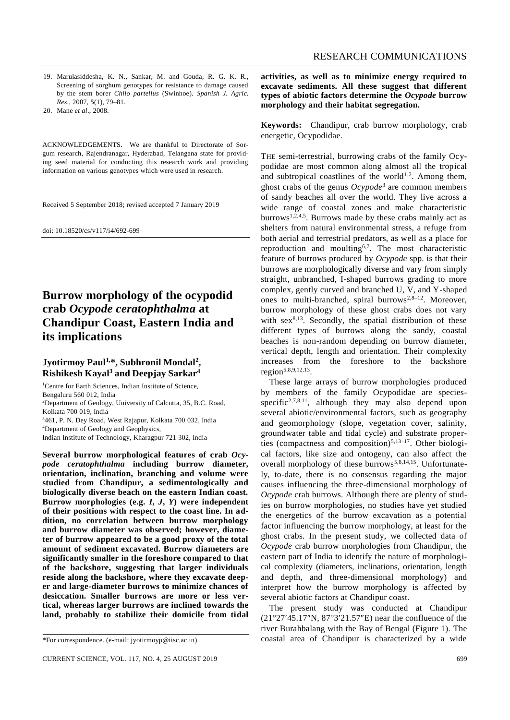- 19. Marulasiddesha, K. N., Sankar, M. and Gouda, R. G. K. R., Screening of sorghum genotypes for resistance to damage caused by the stem borer *Chilo partellus* (Swinhoe). *Spanish J. Agric. Res*., 2007, **5**(1), 79–81.
- 20. Mane *et al*., 2008.

ACKNOWLEDGEMENTS. We are thankful to Directorate of Sorgum research, Rajendranagar, Hyderabad, Telangana state for providing seed material for conducting this research work and providing information on various genotypes which were used in research.

Received 5 September 2018; revised accepted 7 January 2019

doi: 10.18520/cs/v117/i4/692-699

## **Burrow morphology of the ocypodid crab** *Ocypode ceratophthalma* **at Chandipur Coast, Eastern India and its implications**

## **Jyotirmoy Paul1,\*, Subhronil Mondal<sup>2</sup> , Rishikesh Kayal<sup>3</sup> and Deepjay Sarkar<sup>4</sup>**

<sup>1</sup>Centre for Earth Sciences, Indian Institute of Science, Bengaluru 560 012, India <sup>2</sup>Department of Geology, University of Calcutta, 35, B.C. Road, Kolkata 700 019, India <sup>3</sup>461, P. N. Dey Road, West Rajapur, Kolkata 700 032, India <sup>4</sup>Department of Geology and Geophysics, Indian Institute of Technology, Kharagpur 721 302, India

**Several burrow morphological features of crab** *Ocypode ceratophthalma* **including burrow diameter, orientation, inclination, branching and volume were studied from Chandipur, a sedimentologically and biologically diverse beach on the eastern Indian coast. Burrow morphologies (e.g.** *I***,** *J***,** *Y***) were independent of their positions with respect to the coast line. In addition, no correlation between burrow morphology and burrow diameter was observed; however, diameter of burrow appeared to be a good proxy of the total amount of sediment excavated. Burrow diameters are significantly smaller in the foreshore compared to that of the backshore, suggesting that larger individuals reside along the backshore, where they excavate deeper and large-diameter burrows to minimize chances of desiccation. Smaller burrows are more or less vertical, whereas larger burrows are inclined towards the land, probably to stabilize their domicile from tidal**  **activities, as well as to minimize energy required to excavate sediments. All these suggest that different types of abiotic factors determine the** *Ocypode* **burrow morphology and their habitat segregation.**

**Keywords:** Chandipur, crab burrow morphology, crab energetic, Ocypodidae.

THE semi-terrestrial, burrowing crabs of the family Ocypodidae are most common along almost all the tropical and subtropical coastlines of the world<sup>1,2</sup>. Among them, ghost crabs of the genus  $Ocypode^3$  are common members of sandy beaches all over the world. They live across a wide range of coastal zones and make characteristic burrows<sup>1,2,4,5</sup>. Burrows made by these crabs mainly act as shelters from natural environmental stress, a refuge from both aerial and terrestrial predators, as well as a place for reproduction and moulting<sup>6,7</sup>. The most characteristic feature of burrows produced by *Ocypode* spp. is that their burrows are morphologically diverse and vary from simply straight, unbranched, I-shaped burrows grading to more complex, gently curved and branched U, V, and Y-shaped ones to multi-branched, spiral burrows<sup>2,8–12</sup>. Moreover, burrow morphology of these ghost crabs does not vary with  $sex<sup>8,13</sup>$ . Secondly, the spatial distribution of these different types of burrows along the sandy, coastal beaches is non-random depending on burrow diameter, vertical depth, length and orientation. Their complexity increases from the foreshore to the backshore region<sup>5,8,9,12,13</sup>.

These large arrays of burrow morphologies produced by members of the family Ocypodidae are speciesspecific<sup>2,7,8,11</sup>, although they may also depend upon several abiotic/environmental factors, such as geography and geomorphology (slope, vegetation cover, salinity, groundwater table and tidal cycle) and substrate properties (compactness and composition) $5,13-17$ . Other biological factors, like size and ontogeny, can also affect the overall morphology of these burrows<sup>5,8,14,15</sup>. Unfortunately, to-date, there is no consensus regarding the major causes influencing the three-dimensional morphology of *Ocypode* crab burrows. Although there are plenty of studies on burrow morphologies, no studies have yet studied the energetics of the burrow excavation as a potential factor influencing the burrow morphology, at least for the ghost crabs. In the present study, we collected data of *Ocypode* crab burrow morphologies from Chandipur, the eastern part of India to identify the nature of morphological complexity (diameters, inclinations, orientation, length and depth, and three-dimensional morphology) and interpret how the burrow morphology is affected by several abiotic factors at Chandipur coast.

The present study was conducted at Chandipur  $(21°27'45.17''N, 87°3'21.57''E)$  near the confluence of the river Burahbalang with the Bay of Bengal (Figure 1). The coastal area of Chandipur is characterized by a wide

<sup>\*</sup>For correspondence. (e-mail: jyotirmoyp@iisc.ac.in)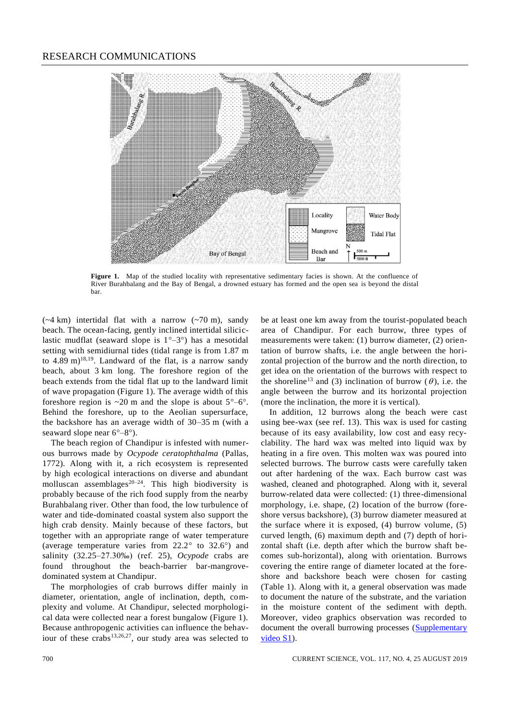

Figure 1. Map of the studied locality with representative sedimentary facies is shown. At the confluence of River Burahbalang and the Bay of Bengal, a drowned estuary has formed and the open sea is beyond the distal bar.

 $(-4 \text{ km})$  intertidal flat with a narrow  $(-70 \text{ m})$ , sandy beach. The ocean-facing, gently inclined intertidal siliciclastic mudflat (seaward slope is  $1^{\circ}-3^{\circ}$ ) has a mesotidal setting with semidiurnal tides (tidal range is from 1.87 m to  $(4.89 \text{ m})^{18,19}$ . Landward of the flat, is a narrow sandy beach, about 3 km long. The foreshore region of the beach extends from the tidal flat up to the landward limit of wave propagation (Figure 1). The average width of this foreshore region is  $\sim 20$  m and the slope is about  $5^{\circ} - 6^{\circ}$ . Behind the foreshore, up to the Aeolian supersurface, the backshore has an average width of 30–35 m (with a seaward slope near  $6^{\circ}-8^{\circ}$ ).

The beach region of Chandipur is infested with numerous burrows made by *Ocypode ceratophthalma* (Pallas, 1772). Along with it, a rich ecosystem is represented by high ecological interactions on diverse and abundant molluscan assemblages<sup>20–24</sup>. This high biodiversity is probably because of the rich food supply from the nearby Burahbalang river. Other than food, the low turbulence of water and tide-dominated coastal system also support the high crab density. Mainly because of these factors, but together with an appropriate range of water temperature (average temperature varies from  $22.2^{\circ}$  to  $32.6^{\circ}$ ) and salinity (32.25–27.30‰) (ref. 25), *Ocypode* crabs are found throughout the beach-barrier bar-mangrovedominated system at Chandipur.

The morphologies of crab burrows differ mainly in diameter, orientation, angle of inclination, depth, complexity and volume. At Chandipur, selected morphological data were collected near a forest bungalow (Figure 1). Because anthropogenic activities can influence the behaviour of these crabs<sup>13,26,27</sup>, our study area was selected to be at least one km away from the tourist-populated beach area of Chandipur. For each burrow, three types of measurements were taken: (1) burrow diameter, (2) orientation of burrow shafts, i.e. the angle between the horizontal projection of the burrow and the north direction, to get idea on the orientation of the burrows with respect to the shoreline<sup>13</sup> and (3) inclination of burrow ( $\theta$ ), i.e. the angle between the burrow and its horizontal projection (more the inclination, the more it is vertical).

In addition, 12 burrows along the beach were cast using bee-wax (see ref. 13). This wax is used for casting because of its easy availability, low cost and easy recyclability. The hard wax was melted into liquid wax by heating in a fire oven. This molten wax was poured into selected burrows. The burrow casts were carefully taken out after hardening of the wax. Each burrow cast was washed, cleaned and photographed. Along with it, several burrow-related data were collected: (1) three-dimensional morphology, i.e. shape, (2) location of the burrow (foreshore versus backshore), (3) burrow diameter measured at the surface where it is exposed, (4) burrow volume, (5) curved length, (6) maximum depth and (7) depth of horizontal shaft (i.e. depth after which the burrow shaft becomes sub-horizontal), along with orientation. Burrows covering the entire range of diameter located at the foreshore and backshore beach were chosen for casting (Table 1). Along with it, a general observation was made to document the nature of the substrate, and the variation in the moisture content of the sediment with depth. Moreover, video graphics observation was recorded to document the overall burrowing processes [\(Supplementary](https://www.currentscience.ac.in/Volumes/117/04/0699-suppl.mp4) [video S1\)](https://www.currentscience.ac.in/Volumes/117/04/0699-suppl.mp4).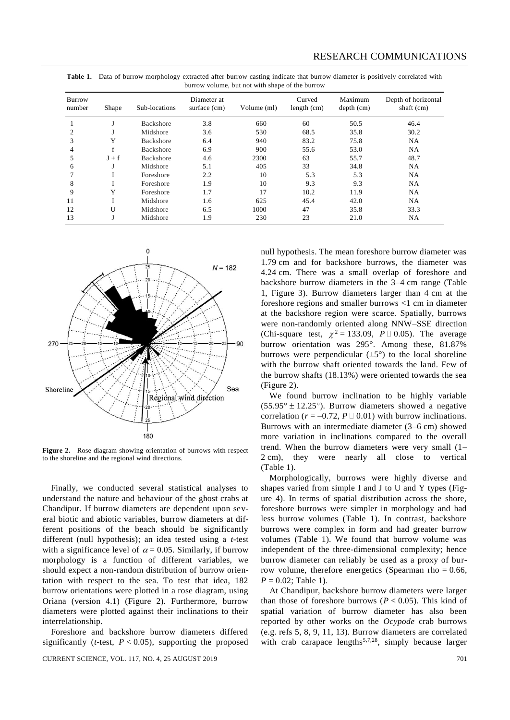| $\alpha$ and $\alpha$ are not that the simple of the barrow |         |                  |                             |             |                       |                         |                                   |
|-------------------------------------------------------------|---------|------------------|-----------------------------|-------------|-----------------------|-------------------------|-----------------------------------|
| Burrow<br>number                                            | Shape   | Sub-locations    | Diameter at<br>surface (cm) | Volume (ml) | Curved<br>length (cm) | Maximum<br>$depth$ (cm) | Depth of horizontal<br>shaft (cm) |
|                                                             |         | <b>Backshore</b> | 3.8                         | 660         | 60                    | 50.5                    | 46.4                              |
| $\overline{c}$                                              |         | Midshore         | 3.6                         | 530         | 68.5                  | 35.8                    | 30.2                              |
| 3                                                           | Y       | <b>Backshore</b> | 6.4                         | 940         | 83.2                  | 75.8                    | <b>NA</b>                         |
| 4                                                           | f       | Backshore        | 6.9                         | 900         | 55.6                  | 53.0                    | NA                                |
| 5                                                           | $J + f$ | <b>Backshore</b> | 4.6                         | 2300        | 63                    | 55.7                    | 48.7                              |
| 6                                                           |         | Midshore         | 5.1                         | 405         | 33                    | 34.8                    | <b>NA</b>                         |
|                                                             |         | Foreshore        | 2.2                         | 10          | 5.3                   | 5.3                     | <b>NA</b>                         |
| 8                                                           |         | Foreshore        | 1.9                         | 10          | 9.3                   | 9.3                     | <b>NA</b>                         |
| 9                                                           | Y       | Foreshore        | 1.7                         | 17          | 10.2                  | 11.9                    | NA                                |
| 11                                                          |         | Midshore         | 1.6                         | 625         | 45.4                  | 42.0                    | NA                                |
| 12                                                          | U       | Midshore         | 6.5                         | 1000        | 47                    | 35.8                    | 33.3                              |
| 13                                                          |         | Midshore         | 1.9                         | 230         | 23                    | 21.0                    | NA                                |

Table 1. Data of burrow morphology extracted after burrow casting indicate that burrow diameter is positively correlated with burrow volume, but not with shape of the burrow



**Figure 2.** Rose diagram showing orientation of burrows with respect to the shoreline and the regional wind directions.

Finally, we conducted several statistical analyses to understand the nature and behaviour of the ghost crabs at Chandipur. If burrow diameters are dependent upon several biotic and abiotic variables, burrow diameters at different positions of the beach should be significantly different (null hypothesis); an idea tested using a *t*-test with a significance level of  $\alpha = 0.05$ . Similarly, if burrow morphology is a function of different variables, we should expect a non-random distribution of burrow orientation with respect to the sea. To test that idea, 182 burrow orientations were plotted in a rose diagram, using Oriana (version 4.1) (Figure 2). Furthermore, burrow diameters were plotted against their inclinations to their interrelationship.

Foreshore and backshore burrow diameters differed significantly ( $t$ -test,  $P < 0.05$ ), supporting the proposed

null hypothesis. The mean foreshore burrow diameter was 1.79 cm and for backshore burrows, the diameter was 4.24 cm. There was a small overlap of foreshore and backshore burrow diameters in the 3–4 cm range (Table 1, Figure 3). Burrow diameters larger than 4 cm at the foreshore regions and smaller burrows <1 cm in diameter at the backshore region were scarce. Spatially, burrows were non-randomly oriented along NNW–SSE direction (Chi-square test,  $\chi^2 = 133.09$ ,  $P \Box 0.05$ ). The average burrow orientation was 295°. Among these, 81.87% burrows were perpendicular  $(\pm 5^{\circ})$  to the local shoreline with the burrow shaft oriented towards the land. Few of the burrow shafts (18.13%) were oriented towards the sea (Figure 2).

We found burrow inclination to be highly variable  $(55.95^\circ \pm 12.25^\circ)$ . Burrow diameters showed a negative correlation ( $r = -0.72$ ,  $P \square 0.01$ ) with burrow inclinations. Burrows with an intermediate diameter (3–6 cm) showed more variation in inclinations compared to the overall trend. When the burrow diameters were very small (1– 2 cm), they were nearly all close to vertical (Table 1).

Morphologically, burrows were highly diverse and shapes varied from simple I and J to U and Y types (Figure 4). In terms of spatial distribution across the shore, foreshore burrows were simpler in morphology and had less burrow volumes (Table 1). In contrast, backshore burrows were complex in form and had greater burrow volumes (Table 1). We found that burrow volume was independent of the three-dimensional complexity; hence burrow diameter can reliably be used as a proxy of burrow volume, therefore energetics (Spearman rho  $= 0.66$ ,  $P = 0.02$ ; Table 1).

At Chandipur, backshore burrow diameters were larger than those of foreshore burrows ( $P < 0.05$ ). This kind of spatial variation of burrow diameter has also been reported by other works on the *Ocypode* crab burrows (e.g. refs 5, 8, 9, 11, 13). Burrow diameters are correlated with crab carapace lengths<sup>5,7,28</sup>, simply because larger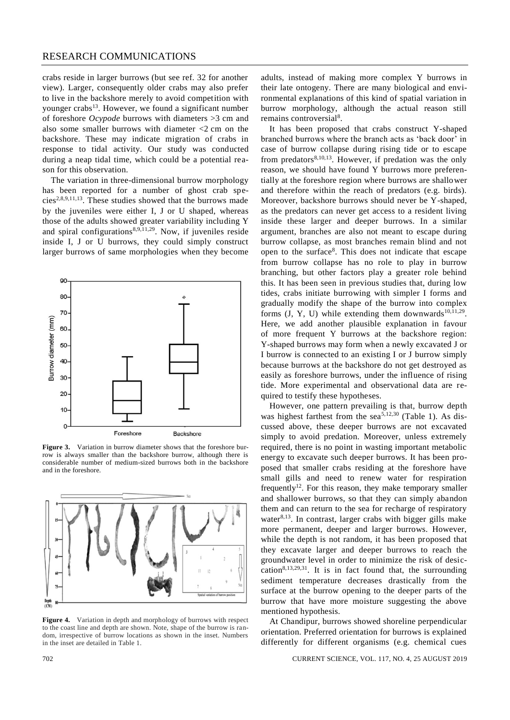crabs reside in larger burrows (but see ref. 32 for another view). Larger, consequently older crabs may also prefer to live in the backshore merely to avoid competition with younger crabs<sup>13</sup>. However, we found a significant number of foreshore *Ocypode* burrows with diameters >3 cm and also some smaller burrows with diameter  $\langle 2 \text{ cm} \rangle$  on the backshore. These may indicate migration of crabs in response to tidal activity. Our study was conducted during a neap tidal time, which could be a potential reason for this observation.

The variation in three-dimensional burrow morphology has been reported for a number of ghost crab spe $cies^{2,8,9,11,13}$ . These studies showed that the burrows made by the juveniles were either I, J or U shaped, whereas those of the adults showed greater variability including Y and spiral configurations<sup>8,9,11,29</sup>. Now, if juveniles reside inside I, J or U burrows, they could simply construct larger burrows of same morphologies when they become



**Figure** 3. Variation in burrow diameter shows that the foreshore burrow is always smaller than the backshore burrow, although there is considerable number of medium-sized burrows both in the backshore and in the foreshore.



**Figure 4.** Variation in depth and morphology of burrows with respect to the coast line and depth are shown. Note, shape of the burrow is random, irrespective of burrow locations as shown in the inset. Numbers in the inset are detailed in Table 1.

adults, instead of making more complex Y burrows in their late ontogeny. There are many biological and environmental explanations of this kind of spatial variation in burrow morphology, although the actual reason still remains controversial<sup>8</sup>.

It has been proposed that crabs construct Y*-*shaped branched burrows where the branch acts as 'back door' in case of burrow collapse during rising tide or to escape from predators<sup>8,10,13</sup>. However, if predation was the only reason, we should have found Y burrows more preferentially at the foreshore region where burrows are shallower and therefore within the reach of predators (e.g. birds). Moreover, backshore burrows should never be Y-shaped, as the predators can never get access to a resident living inside these larger and deeper burrows. In a similar argument, branches are also not meant to escape during burrow collapse, as most branches remain blind and not open to the surface<sup>8</sup>. This does not indicate that escape from burrow collapse has no role to play in burrow branching, but other factors play a greater role behind this. It has been seen in previous studies that, during low tides, crabs initiate burrowing with simpler I forms and gradually modify the shape of the burrow into complex forms  $(J, Y, U)$  while extending them downwards<sup>10,11,29</sup>. Here, we add another plausible explanation in favour of more frequent Y burrows at the backshore region: Y-shaped burrows may form when a newly excavated J or I burrow is connected to an existing I or J burrow simply because burrows at the backshore do not get destroyed as easily as foreshore burrows, under the influence of rising tide. More experimental and observational data are required to testify these hypotheses.

However, one pattern prevailing is that, burrow depth was highest farthest from the sea<sup>5,12,30</sup> (Table 1). As discussed above, these deeper burrows are not excavated simply to avoid predation. Moreover, unless extremely required, there is no point in wasting important metabolic energy to excavate such deeper burrows. It has been proposed that smaller crabs residing at the foreshore have small gills and need to renew water for respiration frequently<sup>12</sup>. For this reason, they make temporary smaller and shallower burrows, so that they can simply abandon them and can return to the sea for recharge of respiratory water $8,13$ . In contrast, larger crabs with bigger gills make more permanent, deeper and larger burrows. However, while the depth is not random, it has been proposed that they excavate larger and deeper burrows to reach the groundwater level in order to minimize the risk of desic $cation<sup>8,13,29,31</sup>$ . It is in fact found that, the surrounding sediment temperature decreases drastically from the surface at the burrow opening to the deeper parts of the burrow that have more moisture suggesting the above mentioned hypothesis.

At Chandipur, burrows showed shoreline perpendicular orientation. Preferred orientation for burrows is explained differently for different organisms (e.g. chemical cues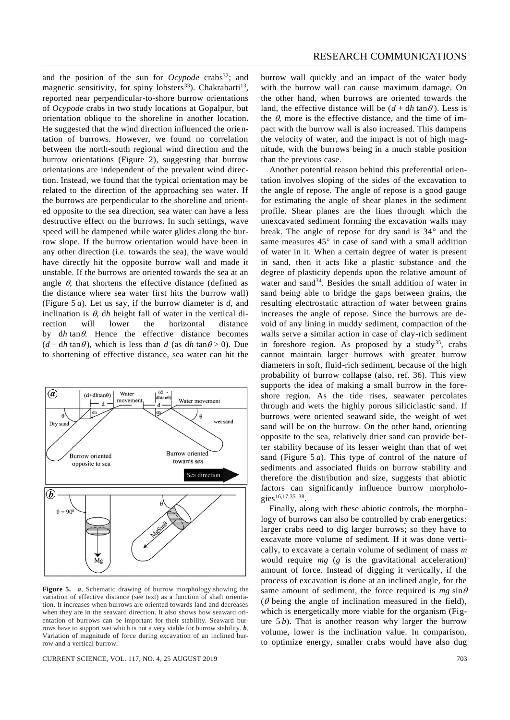and the position of the sun for *Ocypode* crabs<sup>32</sup>; and magnetic sensitivity, for spiny lobsters<sup>33</sup>). Chakrabarti<sup>13</sup>, reported near perpendicular-to-shore burrow orientations of *Ocypode* crabs in two study locations at Gopalpur, but orientation oblique to the shoreline in another location. He suggested that the wind direction influenced the orientation of burrows. However, we found no correlation between the north-south regional wind direction and the burrow orientations (Figure 2), suggesting that burrow orientations are independent of the prevalent wind direction. Instead, we found that the typical orientation may be related to the direction of the approaching sea water. If the burrows are perpendicular to the shoreline and oriented opposite to the sea direction, sea water can have a less destructive effect on the burrows. In such settings, wave speed will be dampened while water glides along the burrow slope. If the burrow orientation would have been in any other direction (i.e. towards the sea), the wave would have directly hit the opposite burrow wall and made it unstable. If the burrows are oriented towards the sea at an angle  $\theta$ , that shortens the effective distance (defined as the distance where sea water first hits the burrow wall) (Figure 5 *a*). Let us say, if the burrow diameter is *d*, and inclination is  $\theta$ , dh height fall of water in the vertical direction will lower the horizontal distance by  $dh \tan \theta$ . Hence the effective distance becomes  $(d - dh \tan \theta)$ , which is less than *d* (as d*h* tan  $\theta > 0$ ). Due to shortening of effective distance, sea water can hit the



**Figure 5.** *a*, Schematic drawing of burrow morphology showing the variation of effective distance (see text) as a function of shaft orientation. It increases when burrows are oriented towards land and decreases when they are in the seaward direction. It also shows how seaward orientation of burrows can be important for their stability. Seaward burrows have to support wet which is not a very viable for burrow stability. *b*, Variation of magnitude of force during excavation of an inclined burrow and a vertical burrow.

CURRENT SCIENCE, VOL. 117, NO. 4, 25 AUGUST 2019 703

burrow wall quickly and an impact of the water body with the burrow wall can cause maximum damage. On the other hand, when burrows are oriented towards the land, the effective distance will be  $(d + dh \tan \theta)$ . Less is the  $\theta$ , more is the effective distance, and the time of impact with the burrow wall is also increased. This dampens the velocity of water, and the impact is not of high magnitude, with the burrows being in a much stable position than the previous case.

Another potential reason behind this preferential orientation involves sloping of the sides of the excavation to the angle of repose. The angle of repose is a good gauge for estimating the angle of shear planes in the sediment profile. Shear planes are the lines through which the unexcavated sediment forming the excavation walls may break. The angle of repose for dry sand is  $34^\circ$  and the same measures  $45^\circ$  in case of sand with a small addition of water in it. When a certain degree of water is present in sand, then it acts like a plastic substance and the degree of plasticity depends upon the relative amount of water and sand<sup>34</sup>. Besides the small addition of water in sand being able to bridge the gaps between grains, the resulting electrostatic attraction of water between grains increases the angle of repose. Since the burrows are devoid of any lining in muddy sediment, compaction of the walls serve a similar action in case of clay-rich sediment in foreshore region. As proposed by a study<sup>35</sup>, crabs cannot maintain larger burrows with greater burrow diameters in soft, fluid-rich sediment, because of the high probability of burrow collapse (also, ref. 36). This view supports the idea of making a small burrow in the foreshore region. As the tide rises, seawater percolates through and wets the highly porous siliciclastic sand. If burrows were oriented seaward side, the weight of wet sand will be on the burrow. On the other hand, orienting opposite to the sea, relatively drier sand can provide better stability because of its lesser weight than that of wet sand (Figure 5 *a*). This type of control of the nature of sediments and associated fluids on burrow stability and therefore the distribution and size, suggests that abiotic factors can significantly influence burrow morphologies<sup>16,17,35-38</sup>.

Finally, along with these abiotic controls, the morphology of burrows can also be controlled by crab energetics: larger crabs need to dig larger burrows; so they have to excavate more volume of sediment. If it was done vertically, to excavate a certain volume of sediment of mass *m* would require *mg* (*g* is the gravitational acceleration) amount of force. Instead of digging it vertically, if the process of excavation is done at an inclined angle, for the same amount of sediment, the force required is  $mg \sin \theta$ ( $\theta$  being the angle of inclination measured in the field), which is energetically more viable for the organism (Figure  $5 b$ ). That is another reason why larger the burrow volume, lower is the inclination value. In comparison, to optimize energy, smaller crabs would have also dug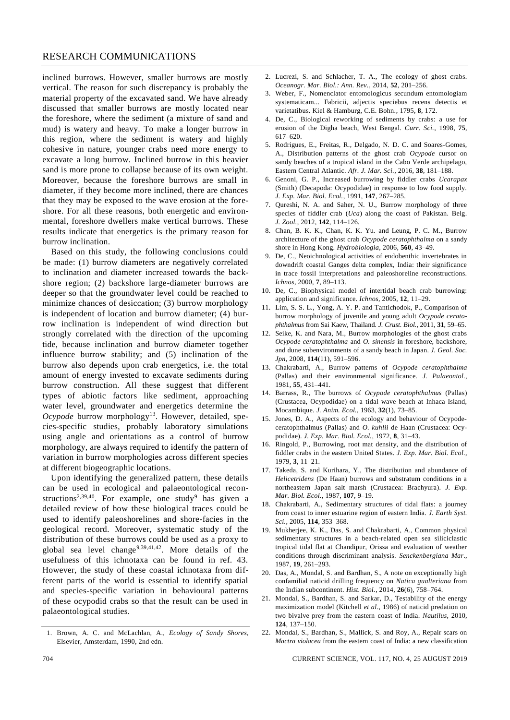## RESEARCH COMMUNICATIONS

inclined burrows. However, smaller burrows are mostly vertical. The reason for such discrepancy is probably the material property of the excavated sand. We have already discussed that smaller burrows are mostly located near the foreshore, where the sediment (a mixture of sand and mud) is watery and heavy. To make a longer burrow in this region, where the sediment is watery and highly cohesive in nature, younger crabs need more energy to excavate a long burrow. Inclined burrow in this heavier sand is more prone to collapse because of its own weight. Moreover, because the foreshore burrows are small in diameter, if they become more inclined, there are chances that they may be exposed to the wave erosion at the foreshore. For all these reasons, both energetic and environmental, foreshore dwellers make vertical burrows. These results indicate that energetics is the primary reason for burrow inclination.

Based on this study, the following conclusions could be made: (1) burrow diameters are negatively correlated to inclination and diameter increased towards the backshore region; (2) backshore large-diameter burrows are deeper so that the groundwater level could be reached to minimize chances of desiccation; (3) burrow morphology is independent of location and burrow diameter; (4) burrow inclination is independent of wind direction but strongly correlated with the direction of the upcoming tide, because inclination and burrow diameter together influence burrow stability; and (5) inclination of the burrow also depends upon crab energetics, i.e. the total amount of energy invested to excavate sediments during burrow construction. All these suggest that different types of abiotic factors like sediment, approaching water level, groundwater and energetics determine the *Ocypode* burrow morphology<sup>13</sup>. However, detailed, species-specific studies, probably laboratory simulations using angle and orientations as a control of burrow morphology, are always required to identify the pattern of variation in burrow morphologies across different species at different biogeographic locations.

Upon identifying the generalized pattern, these details can be used in ecological and palaeontological reconstructions<sup>2,39,40</sup>. For example, one study<sup>9</sup> has given a detailed review of how these biological traces could be used to identify paleoshorelines and shore-facies in the geological record. Moreover, systematic study of the distribution of these burrows could be used as a proxy to global sea level change<sup>9,39,41,42</sup>. More details of the usefulness of this ichnotaxa can be found in ref. 43. However, the study of these coastal ichnotaxa from different parts of the world is essential to identify spatial and species-specific variation in behavioural patterns of these ocypodid crabs so that the result can be used in palaeontological studies.

- 2. Lucrezi, S. and Schlacher, T. A., The ecology of ghost crabs. *Oceanogr. Mar. Biol.: Ann. Rev.*, 2014, **52**, 201–256.
- 3. Weber, F., Nomenclator entomologicus secundum entomologiam systematicam... Fabricii, adjectis speciebus recens detectis et varietatibus. Kiel & Hamburg, C.E. Bohn., 1795, **8**, 172.
- 4. De, C., Biological reworking of sediments by crabs: a use for erosion of the Digha beach, West Bengal. *Curr. Sci.*, 1998, **75**, 617–620.
- 5. Rodrigues, E., Freitas, R., Delgado, N. D. C. and Soares-Gomes, A., Distribution patterns of the ghost crab *Ocypode* cursor on sandy beaches of a tropical island in the Cabo Verde archipelago, Eastern Central Atlantic. *Afr. J. Mar. Sci.*, 2016, **38**, 181–188.
- 6. Genoni, G. P., Increased burrowing by fiddler crabs *Ucarapax* (Smith) (Decapoda: Ocypodidae) in response to low food supply. *J. Exp. Mar. Biol. Ecol.*, 1991, **147**, 267–285.
- 7. Qureshi, N. A. and Saher, N. U., Burrow morphology of three species of fiddler crab (*Uca*) along the coast of Pakistan. Belg. *J. Zool.*, 2012, **142**, 114–126.
- 8. Chan, B. K. K., Chan, K. K. Yu. and Leung, P. C. M., Burrow architecture of the ghost crab *Ocypode ceratophthalma* on a sandy shore in Hong Kong. *Hydrobiologia*, 2006, **560**, 43–49.
- 9. De, C., Neoichnological activities of endobenthic invertebrates in downdrift coastal Ganges delta complex, India: their significance in trace fossil interpretations and paleoshoreline reconstructions. *Ichnos*, 2000, **7**, 89–113.
- 10. De, C., Biophysical model of intertidal beach crab burrowing: application and significance. *Ichnos*, 2005, **12**, 11–29.
- 11. Lim, S. S. L., Yong, A. Y. P. and Tantichodok, P., Comparison of burrow morphology of juvenile and young adult *Ocypode ceratophthalmus* from Sai Kaew, Thailand. *J. Crust. Biol.*, 2011, **31**, 59–65.
- 12. Seike, K. and Nara, M., Burrow morphologies of the ghost crabs *Ocypode ceratophthalma* and *O. sinensis* in foreshore, backshore, and dune subenvironments of a sandy beach in Japan. *J. Geol. Soc. Jpn*, 2008, **114**(11), 591–596.
- 13. Chakrabarti, A., Burrow patterns of *Ocypode ceratophthalma* (Pallas) and their environmental significance. *J. Palaeontol.*, 1981, **55**, 431–441.
- 14. Barrass, R., The burrows of *Ocypode ceratophthalmus* (Pallas) (Crustacea, Ocypodidae) on a tidal wave beach at Inhaca Island, Mocambique. *J. Anim. Ecol.*, 1963, **32**(1), 73–85.
- 15. Jones, D. A., Aspects of the ecology and behaviour of Ocypodeceratophthalmus (Pallas) and *O. kuhlii* de Haan (Crustacea: Ocypodidae). *J. Exp. Mar. Biol. Ecol.*, 1972, **8**, 31–43.
- 16. Ringold, P., Burrowing, root mat density, and the distribution of fiddler crabs in the eastern United States. *J. Exp. Mar. Biol. Ecol.*, 1979, **3**, 11–21.
- 17. Takeda, S. and Kurihara, Y., The distribution and abundance of *Helicetridens* (De Haan) burrows and substratum conditions in a northeastern Japan salt marsh (Crustacea: Brachyura). *J. Exp. Mar. Biol. Ecol.*, 1987, **107**, 9–19.
- 18. Chakrabarti, A., Sedimentary structures of tidal flats: a journey from coast to inner estuarine region of eastern India. *J. Earth Syst. Sci.*, 2005, **114**, 353–368.
- 19. Mukherjee, K. K., Das, S. and Chakrabarti, A., Common physical sedimentary structures in a beach-related open sea siliciclastic tropical tidal flat at Chandipur, Orissa and evaluation of weather conditions through discriminant analysis. *Senckenbergiana Mar.*, 1987, **19**, 261–293.
- 20. Das, A., Mondal, S. and Bardhan, S., A note on exceptionally high confamilial naticid drilling frequency on *Natica gualteriana* from the Indian subcontinent. *Hist. Biol.*, 2014, **26**(6), 758–764.
- 21. Mondal, S., Bardhan, S. and Sarkar, D., Testability of the energy maximization model (Kitchell *et al*., 1986) of naticid predation on two bivalve prey from the eastern coast of India. *Nautilus*, 2010, **124**, 137–150.
- 22. Mondal, S., Bardhan, S., Mallick, S. and Roy, A., Repair scars on *Mactra violacea* from the eastern coast of India: a new classification

<sup>1.</sup> Brown, A. C. and McLachlan, A., *Ecology of Sandy Shores*, Elsevier, Amsterdam, 1990, 2nd edn.